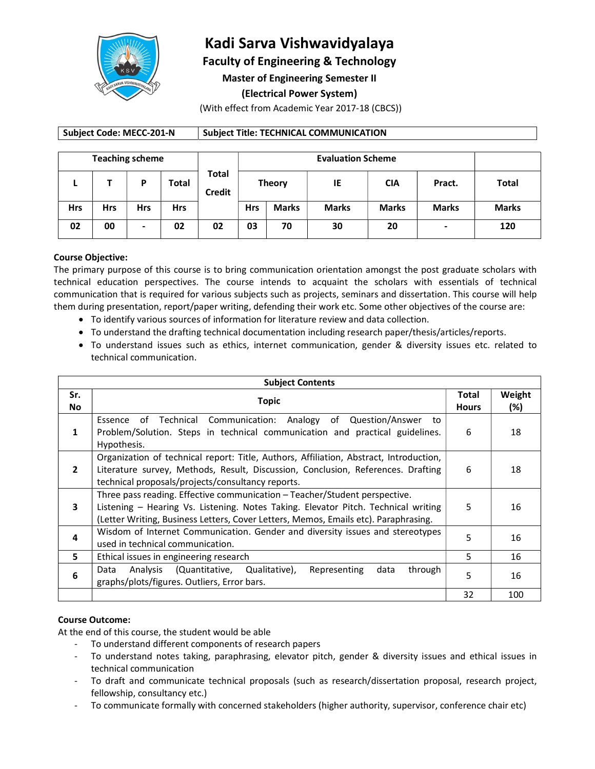

# Kadi Sarva Vishwavidyalaya

Faculty of Engineering & Technology

Master of Engineering Semester II

(Electrical Power System)

(With effect from Academic Year 2017-18 (CBCS))

## Subject Code: MECC-201-N | Subject Title: TECHNICAL COMMUNICATION

| <b>Teaching scheme</b> |            |            |            |                        | <b>Evaluation Scheme</b> |              |              |              |                |              |
|------------------------|------------|------------|------------|------------------------|--------------------------|--------------|--------------|--------------|----------------|--------------|
|                        |            | D          | Total      | Total<br><b>Credit</b> | <b>Theory</b>            |              | IE           | CIA          | Pract.         | <b>Total</b> |
| <b>Hrs</b>             | <b>Hrs</b> | <b>Hrs</b> | <b>Hrs</b> |                        | <b>Hrs</b>               | <b>Marks</b> | <b>Marks</b> | <b>Marks</b> | <b>Marks</b>   | <b>Marks</b> |
| 02                     | 00         | -          | 02         | 02                     | 03                       | 70           | 30           | 20           | $\blacksquare$ | 120          |

#### Course Objective:

The primary purpose of this course is to bring communication orientation amongst the post graduate scholars with technical education perspectives. The course intends to acquaint the scholars with essentials of technical communication that is required for various subjects such as projects, seminars and dissertation. This course will help them during presentation, report/paper writing, defending their work etc. Some other objectives of the course are:

- To identify various sources of information for literature review and data collection.
- To understand the drafting technical documentation including research paper/thesis/articles/reports.
- To understand issues such as ethics, internet communication, gender & diversity issues etc. related to technical communication.

| <b>Subject Contents</b> |                                                                                                                                                                                                                                                         |                       |                  |  |
|-------------------------|---------------------------------------------------------------------------------------------------------------------------------------------------------------------------------------------------------------------------------------------------------|-----------------------|------------------|--|
| Sr.<br>No.              | Topic                                                                                                                                                                                                                                                   | Total<br><b>Hours</b> | Weight<br>$(\%)$ |  |
| 1                       | Essence of Technical Communication: Analogy of<br>Question/Answer to<br>Problem/Solution. Steps in technical communication and practical guidelines.<br>Hypothesis.                                                                                     | 6                     | 18               |  |
| $\overline{2}$          | Organization of technical report: Title, Authors, Affiliation, Abstract, Introduction,<br>Literature survey, Methods, Result, Discussion, Conclusion, References. Drafting<br>technical proposals/projects/consultancy reports.                         | 6                     | 18               |  |
| 3                       | Three pass reading. Effective communication - Teacher/Student perspective.<br>Listening - Hearing Vs. Listening. Notes Taking. Elevator Pitch. Technical writing<br>(Letter Writing, Business Letters, Cover Letters, Memos, Emails etc). Paraphrasing. | 5                     | 16               |  |
| 4                       | Wisdom of Internet Communication. Gender and diversity issues and stereotypes<br>used in technical communication.                                                                                                                                       | 5                     | 16               |  |
| 5.                      | Ethical issues in engineering research                                                                                                                                                                                                                  | 5                     | 16               |  |
| 6                       | Analysis (Quantitative, Qualitative),<br>Representing<br>data<br>through<br>Data<br>graphs/plots/figures. Outliers, Error bars.                                                                                                                         | 5                     | 16               |  |
|                         |                                                                                                                                                                                                                                                         | 32                    | 100              |  |

## Course Outcome:

- 
- At the end of this course, the student would be able<br>- To understand different components of research papers<br>- To understand notes taking, paraphrasing, elevator pitch, gender & diversity issues and ethical issues in
	- technical communication To draft and communicate technical proposals (such as research/dissertation proposal, research project,
	- fellowship, consultancy etc.)<br>To communicate formally with concerned stakeholders (higher authority, supervisor, conference chair etc)